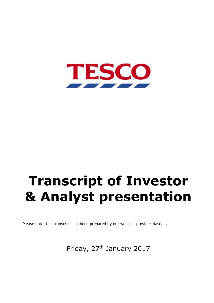

# **Transcript of Investor & Analyst presentation**

Please note, this transcript has been prepared by our webcast provider Nasdaq.

Friday, 27<sup>th</sup> January 2017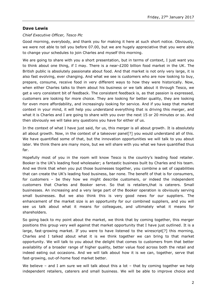# **Dave Lewis**

## *Chief Executive Officer, Tesco Plc*

Good morning, everybody, and thank you for making it here at such short notice. Obviously, we were not able to tell you before 07.00, but we are hugely appreciative that you were able to change your schedules to join Charles and myself this morning.

We are going to share with you a short presentation, but in terms of context, I just want you to think about one thing, if I may. There is a near-£200 billion food market in the UK. The British public is absolutely passionate about food. And that market is not only very large, it is also fast evolving, ever changing. And what we see is customers who are now looking to buy, prepare, consume, receive food in very different ways to how they were historically. Now, when either Charles talks to them about his business or we talk about it through Tesco, we get a very consistent bit of feedback. The consistent feedback is, as that passion is expressed, customers are looking for more choice. They are looking for better quality, they are looking for even more affordability, and increasingly looking for service. And if you keep that market context in your mind, it will help you understand everything that is driving this merger, and what it is Charles and I are going to share with you over the next 15 or 20 minutes or so. And then obviously we will take any questions you have for either of us.

In the context of what I have just said, for us, this merger is all about growth. It is absolutely all about growth. Now, in the context of a takeover panel[?] you would understand all of this. We have quantified some of that, but the innovation opportunities we will talk to you about later. We think there are many more, but we will share with you what we have quantified thus far.

Hopefully most of you in the room will know Tesco is the country's leading food retailer. Booker is the UK's leading food wholesaler; a fantastic business built by Charles and his team. And we think that when you put those businesses together, you combine a set of capabilities that can create the UK's leading food business, bar none. The benefit of that is for consumers, for customers – be they how we might describe customers, or indeed the independent customers that Charles and Booker serve. So that is retailers,that is caterers. Small businesses. An increasing and a very large part of the Booker operation is obviously serving small businesses. But we also think this is very good news for our suppliers. The enhancement of the market size is an opportunity for our combined suppliers, and you will see us talk about what it means for colleagues, and ultimately what it means for shareholders.

So going back to my point about the market, we think that by coming together, this merger positions this group very well against that market opportunity that I have just outlined. It is a large, fast-growing market. If you were to have listened to the wirescript<sup>[?]</sup> this morning, Charles and I talked about what it is we think together we can bring to that market opportunity. We will talk to you about the delight that comes to customers from that better availability of a broader range of higher quality, better value food across both the retail and indeed eating out occasions. And we will talk about how it is we can, together, serve that fast-growing, out-of-home food market better.

We believe – and I am sure we will talk about this a lot – that by coming together we help independent retailers, caterers and small business. We will be able to improve choice and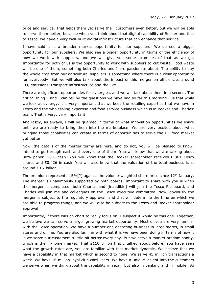price and service. That helps them yet serve their customers even better, but we will be able to serve them better, because when you think about that digital capability of Booker and that of Tesco, we have a very well-built digital infrastructure that can enhance that service.

I have said it is a broader market opportunity for our suppliers. We do see a bigger opportunity for our suppliers. We also see a bigger opportunity in terms of the efficiency of how we work with suppliers, and we will give you some examples of that as we go. Importantly for both of us is the opportunity to work with suppliers to cut waste. Food waste will be one of them; something both Charles and I are passionate about. The ability to buy the whole crop from our agricultural suppliers is something where there is a clear opportunity for everybody. But we will also talk about the impact of this merger on efficiencies around CO<sup>2</sup> emissions, transport infrastructure and the like.

There are significant opportunities for synergies, and we will talk about them in a second. The critical thing – and I can tell by the questions we have had so far this morning – is that while we look at synergy, it is very important that we keep the retailing expertise that we have in Tesco and the wholesaling expertise and food service business which is in Booker and Charles' team. That is very, very important.

And lastly, as always, I will be guarded in terms of what innovation opportunities we share until we are ready to bring them into the marketplace. We are very excited about what bringing those capabilities can create in terms of opportunities to serve the UK food market yet better.

Now, the details of the merger terms are here, and do not, you will be pleased to know, intend to go through each and every one of them. You will know that we are talking about 80% paper, 20% cash. You will know that the Booker shareholder receives 0.861 Tesco shares and £0.426 in cash. You will also know that the valuation of the total business is at around £3.7 billion.

The premium represents  $15\%$ [?] against the volume-weighted share price since  $12<sup>th</sup>$  January. The merger is unanimously supported by both boards. Important to share with you is when the merger is completed, both Charles and [inaudible] will join the Tesco Plc board, and Charles will join me and colleagues on the Tesco executive committee. Now, obviously the merger is subject to the regulatory approval, and that will determine the time on which we are able to progress things, and we will also be subject to the Tesco and Booker shareholder approval.

Importantly, if there was on chart to really focus on, I suspect it would be this one. Together, we believe we can serve a larger growing market opportunity. Most of you are very familiar with the Tesco operation. We have a number-one operating business in large stores, in small stores and online. You are also familiar with what it is we have been doing in terms of how it is we serve our customers a little bit better every day. But we serve a market predominantly, which is the in-home market. That  $£110$  billion that I talked about before. You have seen what the growth rates are, you are familiar with that market dynamic. We believe that we have a capability in that market which is second to none. We serve 45 million transactions a week. We have 16 million loyal club card users. We have a unique insight into the customers we serve when we think about the capability in retail, but also in banking and in mobile. So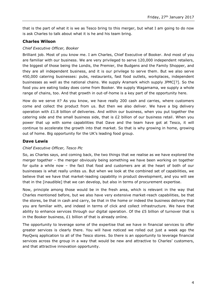that is the part of what it is we as Tesco bring to this merger, but what I am going to do now is ask Charles to talk about what it is he and his team bring.

# **Charles Wilson**

## *Chief Executive Officer, Booker*

Brilliant job. Most of you know me. I am Charles, Chief Executive of Booker. And most of you are familiar with our business. We are very privileged to serve 120,000 independent retailers, the biggest of those being the Londis, the Premier, the Budgens and the Family Shopper, and they are all independent business, and it is our privilege to serve them. But we also serve 450,000 catering businesses: pubs, restaurants, fast food outlets, workplaces, independent businesses as well as the national chains. We supply Aramark which supply JPMC[?]. So the food you are eating today does come from Booker. We supply Wagamama, we supply a whole range of chains, too. And that growth in out-of-home is a key part of the opportunity here.

How do we serve it? As you know, we have really 200 cash and carries, where customers come and collect the product from us. But then we also deliver. We have a big delivery operation with  $£1.8$  billion of deliveries. And within our business, when you put together the catering side and the small business side, that is  $E2$  billion of our business retail. When you power that up with some capabilities that Dave and the team have got at Tesco, it will continue to accelerate the growth into that market. So that is why growing in home, growing out of home. Big opportunity for the UK's leading food group.

# **Dave Lewis**

## *Chief Executive Officer, Tesco Plc*

So, as Charles says, and coming back, the two things that we realise as we have explored the merger together – the merger obviously being something we have been working on together for quite a while now – the fact that food and customers are at the heart of both of our businesses is what really unites us. But when we look at the combined set of capabilities, we believe that we have that market-leading capability in product development, and you will see that in the [inaudible] that we can develop, but also in terms of procurement expertise.

Now, principle among those would be in the fresh area, which is relevant in the way that Charles mentioned before, but we also have very extensive market-reach capabilities, be that the stores, be that in cash and carry, be that in the home or indeed the business delivery that you are familiar with, and indeed in terms of click and collect infrastructure. We have that ability to enhance services through our digital operation. Of the £5 billion of turnover that is in the Booker business, £1 billion of that is already online.

The opportunity to leverage some of the expertise that we have in financial services to offer greater services is clearly there. You will have noticed we rolled out just a week ago the PayQwiq application to all of the Tesco stores. So there is an opportunity to leverage financial services across the group in a way that would be new and attractive to Charles' customers, and that attractive innovation opportunity.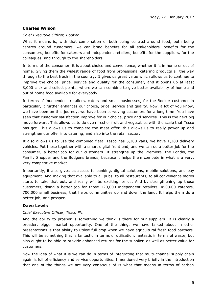# **Charles Wilson**

## *Chief Executive Officer, Booker*

What it means is, with that combination of both being centred around food, both being centres around customers, we can bring benefits for all stakeholders, benefits for the consumers, benefits for caterers and independent retailers, benefits for the suppliers, for the colleagues, and through to the shareholders.

In terms of the consumer, it is about choice and convenience, whether it is in home or out of home. Giving them the widest range of food from professional catering products all the way through to the best fresh in the country. It gives us great value which allows us to continue to improve the choice, price, service and quality for the consumer, and it opens up at least 8,000 click and collect points, where we can combine to give better availability of home and out of home food available for everybody.

In terms of independent retailers, caters and small businesses, for the Booker customer in particular, it further enhances our choice, price, service and quality. Now, a lot of you know, we have been on this journey, we have been surveying customers for a long time. You have seen that customer satisfaction improve for our choice, price and services. This is the next big move forward. This allows us to do even fresher fruit and vegetables with the scale that Tesco has got. This allows us to complete the meat offer, this allows us to really power up and strengthen our offer into catering, and also into the retail sector.

It also allows us to use the combined fleet. Tesco has 5,200 vans, we have 1,200 delivery vehicles. Put those together with a smart digital front end, and we can do a better job for the consumer, a better job for our customers. It strengths up the Premiere, the Londis, the Family Shopper and the Budgens brands, because it helps them compete in what is a very, very competitive market.

Importantly, it also gives us access to banking, digital solutions, mobile solutions, and pay equipment. And making that available to all pubs, to all restaurants, to all convenience stores starts to take that out, and really will be exciting for us. And by strengthening up those customers, doing a better job for those 120,000 independent retailers, 450,000 caterers, 700,000 small business, that helps communities up and down the land. It helps them do a better job, and prosper.

## **Dave Lewis**

## *Chief Executive Officer, Tesco Plc*

And the ability to prosper is something we think is there for our suppliers. It is clearly a broader, bigger market opportunity. One of the things we have talked about in other presentations is that ability to utilise full crop when we have agricultural fresh food partners. This will be something that is fantastic in terms of utilisation, fantastic in terms of waste, but also ought to be able to provide enhanced returns for the supplier, as well as better value for customers.

Now the idea of what it is we can do in terms of integrating that multi-channel supply chain again is full of efficiency and service opportunities. I mentioned very briefly in the introduction that one of the things we are very conscious of is what that means in terms of carbon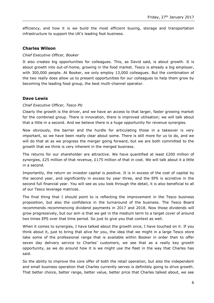efficiency, and how it is we build the most efficient buying, storage and transportation infrastructure to support the UK's leading foot business.

## **Charles Wilson**

#### *Chief Executive Officer, Booker*

It also creates big opportunities for colleagues. This, as David said, is about growth. It is about growth into out-of-home, growing in the food market. Tesco is already a big employer, with 300,000 people. At Booker, we only employ 13,000 colleagues. But the combination of the two really does allow us to present opportunities for our colleagues to help them grow by becoming the leading food group, the best multi-channel operator.

## **Dave Lewis**

#### *Chief Executive Officer, Tesco Plc*

Clearly the growth is the driver, and we have an access to that larger, faster growing market for the combined group. There is innovation, there is improved utilisation; we will talk about that a little in a second. And we believe there is a huge opportunity for revenue synergies.

Now obviously, the barrier and the hurdle for articulating those in a takeover is very important, so we have been really clear about some. There is still more for us to do, and we will do that at as we progress the merger going forward, but we are both committed to the growth that we think is very inherent in the merged business.

The returns for our shareholder are attractive. We have quantified at least  $£200$  million of synergies, £25 million of that revenue, £175 million of that in cost. We will talk about it a little in a second.

Importantly, the return on investor capital is positive. It is in excess of the cost of capital by the second year, and significantly in excess by year three, and the EPS is accretive in the second full financial year. You will see as you look through the detail, it is also beneficial to all of our Tesco leverage matrices.

The final thing that I should point to is reflecting the improvement in the Tesco business proposition, but also the confidence in the turnaround of the business. The Tesco Board recommends recommencing dividend payments in 2017 and 2018. Now those dividends will grow progressively, but our aim is that we get in the medium term to a target cover of around two times EPS over that time period. So just to give you that context as well.

When it comes to synergies, I have talked about the growth once, I have touched on it. If you think about it, just to bring that alive for you, the idea that we might in a large Tesco store take some of the professional range that is available within Booker in order then to offer seven day delivery service to Charles' customers, we see that as a really key growth opportunity, as we do around how it is we might use the fleet in the way that Charles has said.

So the ability to improve the core offer of both the retail operation, but also the independent and small business operation that Charles currently serves is definitely going to drive growth. That better choice, better range, better value, better price that Charles talked about, we see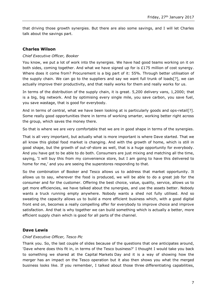that driving those growth synergies. But there are also some savings, and I will let Charles talk about the savings part.

# **Charles Wilson**

## *Chief Executive Officer, Booker*

You know, we put a lot of work into the synergies. We have had good teams working on it on both sides, coming together. And what we have signed up for is £175 million of cost synergy. Where does it come from? Procurement is a big part of it: 55%. Through better utilisation of the supply chain. We can go to the suppliers and say we want full trunk of loads[?], we can actually improve their productivity, and that really works for them and really works for us.

In terms of the distribution of the supply chain, it is great. 5,200 delivery vans, 1,2000; that is a big, big network. And by optimising every single mile, you save carbon, you save fuel, you save wastage, that is good for everybody.

And in terms of central, what we have been looking at is particularly goods and ops-retail[?]. Some really good opportunities there in terms of working smarter, working better right across the group, which saves the money there.

So that is where we are very comfortable that we are in good shape in terms of the synergies.

That is all very important, but actually what is more important is where Dave started. That we all know this global food market is changing. And with the growth of home, which is still in good shape, but the growth of out-of-store as well, that is a huge opportunity for everybody. And you have got to be able to do both. Consumers are just mixing and matching all the time, saying, 'I will buy this from my convenience store, but I am going to have this delivered to home for me,' and you are seeing the superstores responding to that.

So the combination of Booker and Tesco allows us to address that market opportunity. It allows us to say, wherever the food is produced, we will be able to do a great job for the consumer and for the customer. Offering the best choice, value, quality, service, allows us to get more efficiencies, we have talked about the synergies, and use the assets better. Nobody wants a truck running empty anywhere. Nobody wants a shed not fully utilised. And so sweating the capacity allows us to build a more efficient business which, with a good digital front end on, becomes a really compelling offer for everybody to improve choice and improve satisfaction. And that is why together we can build something which is actually a better, more efficient supply chain which is good for all parts of the channel.

## **Dave Lewis**

### *Chief Executive Officer, Tesco Plc*

Thank you. So, the last couple of slides because of the questions that one anticipates around, 'Dave where does this fit in, in terms of the Tesco business?' I thought I would take you back to something we shared at the Capital Markets Day and it is a way of showing how the merger has an impact on the Tesco operation but it also then shows you what the merged business looks like. If you remember, I talked about those three differentiating capabilities,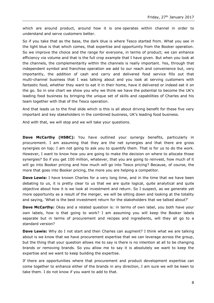which are around product, around how it is one operates within channel in order to understand and serve customers better.

So if you take that as the base, the dark blue is where Tesco started from. What you see in the light blue is that which comes, that expertise and opportunity from the Booker operation. So we improve the choice and the range for everyone, in terms of product; we can enhance efficiency via volume and that is the full crop example that I have given. But when you look at the channels, the complementarity within the channels is really important. Yes, through that independent symbol and franchise operation we add to our reach and convenience but, very importantly, the addition of cash and carry and delivered food service fills out that multi-channel business that I was talking about and you look at serving customers with fantastic food, whether they want to eat it in their home, have it delivered or indeed eat it on the go. So in one chart we show you why we think we have the potential to become the UK's leading food business by bringing the unique set of skills and capabilities of Charles and his team together with that of the Tesco operation.

And that leads us to the final slide which is this is all about driving benefit for these five very important and key stakeholders in the combined business, UK's leading food business.

And with that, we will stop and we will take your questions.

**Dave McCarthy (HSBC):** You have outlined your synergy benefits, particularly in procurement. I am assuming that they are the net synergies and that there are gross synergies on top; I am not going to ask you to quantify them. That is for us to do the work. However, I want to know how you are going to make the decision on where to allocate those synergies? So if you get 100 million, whatever, that you are going to reinvest, how much of it will go into Booker pricing and how much will go into Tesco pricing? Because, of course, the more that goes into Booker pricing, the more you are helping a competitor.

**Dave Lewis:** I have known Charles for a very long time, and in the time that we have been debating to us, it is pretty clear to us that we are quite logical, quite analytical and quite objective about how it is we look at investment and return. So I suspect, as we generate yet more opportunity as a result of the merger, we will be sitting down and looking at the totality and saying, 'What is the best investment return for the stakeholders that we talked about?'

**Dave McCarthy:** Okay and a related question is: in terms of own label, you both have your own labels, how is that going to work? I am assuming you will keep the Booker labels separate but in terms of procurement and recipes and ingredients, will they all go to a standard version?

**Dave Lewis:** Why do I not start and then Charles can augment? I think what we are talking about is we know that we have procurement expertise that we can leverage across the group, but the thing that your question allows me to say is there is no intention at all to be changing brands or removing brands. So you allow me to say it is absolutely we want to keep the expertise and we want to keep building the expertise.

If there are opportunities where that procurement and product development expertise can come together to enhance either of the brands in any direction, I am sure we will be keen to take them. I do not know if you want to add to that.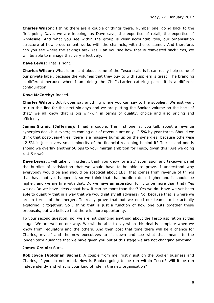**Charles Wilson:** I think there are a couple of things there. Number one, going back to the first point, Dave, we are keeping, as Dave says, the expertise of retail, the expertise of wholesale. And what you see within the group is clear accountabilities, our organisation structure of how procurement works with the channels, with the consumer. And therefore, can you see where the savings are? Yes. Can you see how that is reinvested back? Yes, we will be able to manage that very effectively.

**Dave Lewis:** That is right.

**Charles Wilson:** What is brilliant about some of the Tesco scale is it can really help some of our private label, because the volumes that they buy to with suppliers is great. The branding is different because when I am doing the Chef's Larder catering packs it is a different configuration.

#### **Dave McCarthy:** Indeed.

**Charles Wilson:** But it does say anything where you can say to the supplier, 'We just want to run this line for the next six days and we are putting the Booker volume on the back of that,' we all know that is big win-win in terms of quality, choice and also pricing and efficiency.

**James Grzinic (Jefferies):** I had a couple. The first one is: you talk about a revenue synergies deal, but synergies coming out of revenue are only 12.5% by year three. Should we think that post-year-three, there is a massive bump up on the synergies, because otherwise 12.5% is just a very small minority of the financial reasoning behind it? The second one is should we overlay another 50 bps to your margin ambition for Tesco, given this? Are we going 4–4.5 now?

**Dave Lewis:** I will take it in order. I think you know for a 2.7 submission and takeover panel the hurdles of satisfaction that we would have to be able to prove. I understand why everybody would be and should be sceptical about EBIT that comes from revenue of things that have not yet happened, so we think that that hurdle rate is higher and it should be higher, and we are fine with that. Do we have an aspiration for it to be more than that? Yes we do. Do we have ideas about how it can be more than that? Yes we do. Have we yet been able to quantify that in a way that we would satisfy all advisers? No, because that is where we are in terms of the merger. To really prove that out we need our teams to be actually exploring it together. So I think that is just a function of how one puts together these proposals, but we believe that there is more opportunity.

To your second question, no, we are not changing anything about the Tesco aspiration at this stage. We are well on our way. We will be able to say when this deal is complete when we know from regulators and the others. And then post that time there will be a chance for Charles, myself and the new executives to sit down and see what that means to the longer-term guidance that we have given you but at this stage we are not changing anything.

#### **James Grzinic:** Sure.

**Rob Joyce (Goldman Sachs):** A couple from me, firstly just on the Booker business and Charles, if you do not mind. How is Booker going to be run within Tesco? Will it be run independently and what is your kind of role in the new organisation?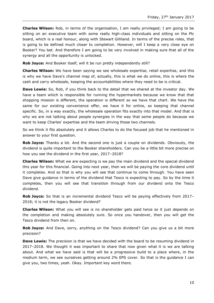**Charles Wilson:** Rob, in terms of the organisation, I am really privileged; I am going to be sitting on an executive team with some really high-class individuals and sitting on the Plc board, which is a real honour, along with Stewart Gilliland. In terms of the precise roles, that is going to be defined much closer to completion. However, will I keep a very close eye on Booker? You bet. And therefore I am going to be very involved in making sure that all of the synergy and all the opportunity is unlocked.

**Rob Joyce:** And Booker itself, will it be run pretty independently still?

**Charles Wilson:** We have been saying we see wholesale expertise, retail expertise, and this is why we have Dave's channel map of, actually, this is what we do online, this is where the cash and carry wholesale, keeping the accountabilities where they need to be is critical.

**Dave Lewis:** So, Rob, if you think back to the detail that we shared at the investor day. We have a team which is responsible for running the hypermarkets because we know that that shopping mission is different, the operation is different so we have that chart. We have the same for our existing convenience offer, we have it for online, so keeping that channel specific. So, in a way exactly, the wholesale operation fits exactly into that model. And that is why we are not talking about people synergies in the way that some people do because we want to keep Charles' expertise and the team driving those two channels.

So we think it fits absolutely and it allows Charles to do the focused job that he mentioned in answer to your first question.

**Rob Joyce:** Thanks a lot. And the second one is just a couple on dividends. Obviously, the dividend is quite important to the Booker shareholders. Can you be a little bit more precise on how you see the dividend in the first year, 2017–2018?

**Charles Wilson:** What we are expecting is we pay the main dividend and the special dividend this year for this financial. Going into next year, then we will be paying the core dividend until it completes. And so that is why you will see that continue to come through. You have seen Dave give guidance in terms of the dividend that Tesco is expecting to pay. So by the time it completes, then you will see that transition through from our dividend onto the Tesco dividend.

**Rob Joyce:** So that is an incremental dividend Tesco will be paying effectively from 2017– 2018; it is not the legacy Booker dividend?

**Charles Wilson:** What you will see is no shareholder gets paid twice so it just depends on the completion and making absolutely sure. So once you handover, then you will get the Tesco dividend from then on.

**Rob Joyce:** And Dave, sorry, anything on the Tesco dividend? Can you give us a bit more precision?

**Dave Lewis:** The precision is that we have decided with the board to be resuming dividend in 2017–2018. We thought it was important to share that now given what it is we are talking about. And what we have said is that will be a progressive build to a place where, in the medium term, we see ourselves getting around 2% EPS cover. So that is the guidance I can give you, two times, yeah. Okay. Important key word there.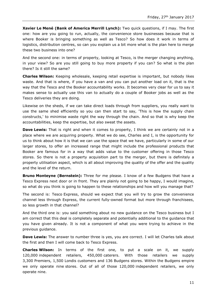**Xavier Le Mené (Bank of America Merrill Lynch):** Two quick questions, if I may. The first one: how are you going to run, actually, the convenience store businesses because that is where Booker is bringing something as well as Tesco? So how does it work in terms of logistics, distribution centres, so can you explain us a bit more what is the plan here to merge these two business into one?

And the second one: in terms of property, looking at Tesco, is the merger changing anything, in your view? So are you still going to buy more property if you can? So what is the plan there? Is it still the same?

**Charles Wilson:** Keeping wholesale, keeping retail expertise is important, but nobody likes waste. And that is where, if you have a van and you can put another load on it, that is the way that the Tesco and the Booker accountability works. It becomes very clear for us to say it makes sense to actually use this van to actually do a couple of Booker jobs as well as the Tesco deliveries they are doing.

Likewise on the sheds, if we can take direct loads through from suppliers, you really want to use the same shed efficiently so you can then start to say, 'This is how the supply chain constructs,' to minimise waste right the way through the chain. And so that is why keep the accountabilities, keep the expertise, but also sweat the assets.

**Dave Lewis:** That is right and when it comes to property, I think we are certainly not in a place where we are acquiring property. What we do see, Charles and I, is the opportunity for us to think about how it is that we can use the space that we have, particularly in some of our larger stores, to offer an increased range that might include the professional products that Booker are famous for in a way that adds value to the customer offering in those Tesco stores. So there is not a property acquisition part to the merger, but there is definitely a property utilisation aspect, which is all about improving the quality of the offer and the quality and the level of the return.

**Bruno Monteyne (Bernstein):** Three for me please. I know of a few Budgens that have a Tesco Express next door or in front. They are plainly not going to be happy, I would imagine, so what do you think is going to happen to these relationships and how will you manage that?

The second is: Tesco Express, should we expect that you will try to grow the convenience channel less through Express, the current fully-owned format but more through franchisees, so less growth in that channel?

And the third one is: you said something about no new guidance on the Tesco business but I am correct that this deal is completely separate and potentially additional to the guidance that you have given already. It is not a component of what you were trying to achieve in the previous guidance.

**Dave Lewis:** The answer to number three is yes, you are correct. I will let Charles talk about the first and then I will come back to Tesco Express.

**Charles Wilson:** In terms of the first one, to put a scale on it, we supply 120,000 independent retailers, 450,000 caterers. With those retailers we supply 3,300 Premiers, 1,500 Londis customers and 136 Budgens stores. Within the Budgens empire we only operate nine stores. Out of all of those 120,000 independent retailers, we only operate nine.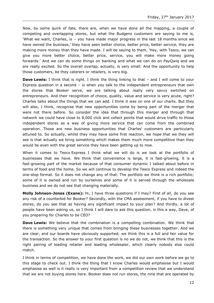Now, by some quirk of fate, there are, when we have done all the mapping, a couple of competing and overlapping stores, but what the Budgens customers are saying to me is, 'What we want, Charles, is – you have made major progress in the last 18 months since we have owned the business,' they have seen better choice, better price, better service, they are making more money than they have made. I will be saying to them, 'Hey, with Tesco, we can give you more better choice, better price, service, you will make more money going forwards.' And we can do some things on banking and what we can do on PayQwiq and we are really excited. So the overall overlap, actually, is very small. And the opportunity to help those customers, be they caterers or retailers, is very big.

**Dave Lewis:** I think that is right. I think the thing linking to that – and I will come to your Express question in a second – is when you talk to the independent entrepreneurs that own the stores that Booker serve, we are talking about really very savvy switched on entrepreneurs. And their recognition of choice, quality, value and service is very acute, right? Charles talks about the things that we can add. I think it was on one of our charts. But they will also, I think, recognise that new opportunities come by being part of the merger that were not there before. So consider the idea that through this merger and through that network we could have close to 8,000 click and collect points that would drive traffic to those independent stores as a way of giving more service that can come from the combined operation. Those are new business opportunities that Charles' customers are particularly attuned to. So actually, whilst they may have some first reaction, we hope that we they will see is that actually we bring something which makes them much more competitive than they would be even with the great service they have been getting up to now.

When it comes to Tesco Express I think what we will do is we look at the portfolio of businesses that we have. We think that convenience is large, it is fast-growing, it is a fast-growing part of the market because of that consumer dynamic I talked about before in terms of food and the home. So we will continue to develop the Tesco Express and indeed the one-stop format. So it does not change any of that. The portfolio we think is a rich portfolio; some of it is owned and run by ourselves and some of it is served through the wholesale business and we do not see that changing materially.

**Molly Johnson-Jones (Exane):** Hi, I have three questions if I may? First of all, do you see any risk of a counterbid for Booker? Secondly, with the CMA assessment, if you have to divest stores, do you see that as having any significant impact to your plan? And thirdly, a lot of people have been asking us, so I think I will dare to ask this question, is this a way, Dave, of you preparing for Charles to be CEO?

**Dave Lewis:** We believe that the combination is a compelling combination. We think that there is something very unique that comes from bringing these businesses together. And we are clear, and our boards have obviously supported; we think this is a full and fair value for the transaction. So the answer to your first question is no we do not, we think that this is the right pairing of leading retailer and leading wholesaler, which clearly nobody else could match.

I think in terms of competition, we have done the work, we did our own work before we go to this stage to check out. I think the thing that I know Charles would emphasise but I would emphasise as well is it really is very important from a competition review that we understand that we are not buying stores here. Booker does not run stores, the nine that are operated by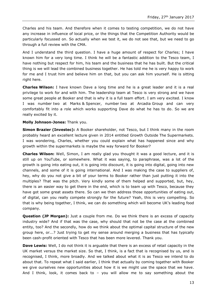Charles and his team. And therefore when it comes to testing competition, we do not have any increase in influence of local price, or the things that the Competition Authority would be particularly focussed on. So actually when we test it, we do not see that, but we need to go through a full review with the CMA.

And I understand the third question. I have a huge amount of respect for Charles; I have known him for a very long time. I think he will be a fantastic addition to the Tesco team, I have nothing but respect for him, his team and the business that he has built. But the critical thing is we will lead the combined business together. He has told me he is very happy to work for me and I trust him and believe him on that, but you can ask him yourself. He is sitting right here.

**Charles Wilson:** I have known Dave a long time and he is a great leader and it is a real privilege to work for and with him. The leadership team at Tesco is very strong and we have some great people at Booker and that is why it is a full team effort. I am very excited. I know I was number two at Marks & Spencer, number two at Arcadia Group and can very comfortably fit into a role which works supporting Dave do what he has to do. So we are really excited by it.

#### **Molly Johnson-Jones:** Thank you.

**Simon Brazier (Investec):** A Booker shareholder, not Tesco, but I think many in the room probably heard an excellent lecture given in 2014 entitled Growth Outside The Supermarkets. I was wondering, Charles, whether you could explain what has happened since and why growth within the supermarkets is maybe the way forward for Booker?

**Charles Wilson:** Well, Simon, I am really glad you thought it was a good lecture, and it is still up on YouTube, or somewhere. What it was saying, to paraphrase, was a lot of the growth is going into eating out, it is going into discount, it is going into digital, going into new channels, and some of it is going international. And I was making the case to suppliers of, hey, why do you not give a bit of your terms to Booker rather than just putting it into the multiples? That was the pitch. Very kindly some of them helped and supported, but, hey, there is an easier way to get there in the end, which is to team up with Tesco, because they have got some great assets there. So can we then address those opportunities of eating out, of digital, can you really compete strongly for the future? Yeah, this is very compelling. So that is why being together, I think, we can do something which will become UK's leading food company.

**Question (JP Morgan):** Just a couple from me. Do we think there is an excess of capacity industry wide? And if that was the case, why should that not be the case at the combined entity, too? And the secondly, how do we think about the optimal capital structure of the new group here, or...? Just trying to get my sense around merging a business that has typically been cash-profit oriented with Tesco that has been more levered. Thank you.

**Dave Lewis:** Well, I do not think it is arguable that there is an excess of retail capacity in the UK market versus the market size. So that, I think, is a fact that is recognised by us, and is recognised, I think, more broadly. And we talked about what it is as Tesco we intend to do about that. To repeat what I said earlier, I think that actually by coming together with Booker we give ourselves new opportunities about how it is we might use the space that we have. And I think, look, it comes back to – you will allow me to say something about the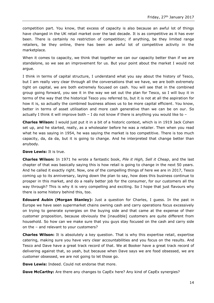competition part. You know, that excess of capacity is also because an awful lot of things have changed in the UK retail market over the last decade. It is as competitive as it has ever been. There is certainly no restriction of competition; if anything, be they limited range retailers, be they online, there has been an awful lot of competitive activity in the marketplace.

When it comes to capacity, we think that together we can our capacity better than if we are standalone, so we see an improvement for us. But your point about the market I would not argue.

I think in terms of capital structure, I understand what you say about the history of Tesco, but I am really very clear through all the conversations that we have, we are both extremely tight on capital, we are both extremely focused on cash. You will see that in the combined group going forward, you see it in the way we set out the plan for Tesco, so I will buy it in terms of the way that the historical Tesco you referred to, but it is not at all the aspiration for how it is, so actually the combined business allows us to be more capital efficient. You know, better in terms of asset utilisation and more cash generative than we can be on our. So actually I think it will improve both  $-$  I do not know if there is anything you would like to  $-$ 

**Charles Wilson:** I would just put it in a bit of a historic context, which is in 1919 Jack Cohen set up, and he started, really, as a wholesaler before he was a retailer. Then when you read what he was saying in 1954, he was saying the market is too competitive. There is too much capacity, da, da da, but it is going to change. And he interpreted that change better than anybody.

#### **Dave Lewis:** It is true.

**Charles Wilson:** In 1971 he wrote a fantastic book, *Pile it High, Sell it Cheap*, and the last chapter of that was basically saying this is how retail is going to change in the next 50 years. And he called it exactly right. Now, one of the compelling things of here we are in 2017, Tesco coming up to its anniversary, laying down the plan to say, how does this business continue to prosper in this market, and do a really better job for the consumer, for our customers all the way through? This is why it is very compelling and exciting. So I hope that just flavours why there is some history behind this, too.

**Edouard Aubin (Morgan Stanley):** Just a question for Charles, I guess. In the past in Europe we have seen supermarket chains owning cash and carry operations focus excessively on trying to generate synergies on the buying side and that came at the expense of their customer proposition, because obviously the [inaudible] customers are quite different from household. So how can we make sure that you guys stay focused on the cash and carry side on the – and relevant to your customers?

**Charles Wilson:** It is absolutely a key question. That is why this expertise retail, expertise catering, making sure you have very clear accountabilities and you focus on the results. And Tesco and Dave have a great track record of that. We at Booker have a great track record of delivering against that, so yeah, but because when Dave says we are food obsessed, we are customer obsessed, we are not going to let those go.

**Dave Lewis:** Indeed. Could not endorse that more.

**Dave McCarthy:** Are there any changes to CapEx here? Any kind of CapEx synergies?